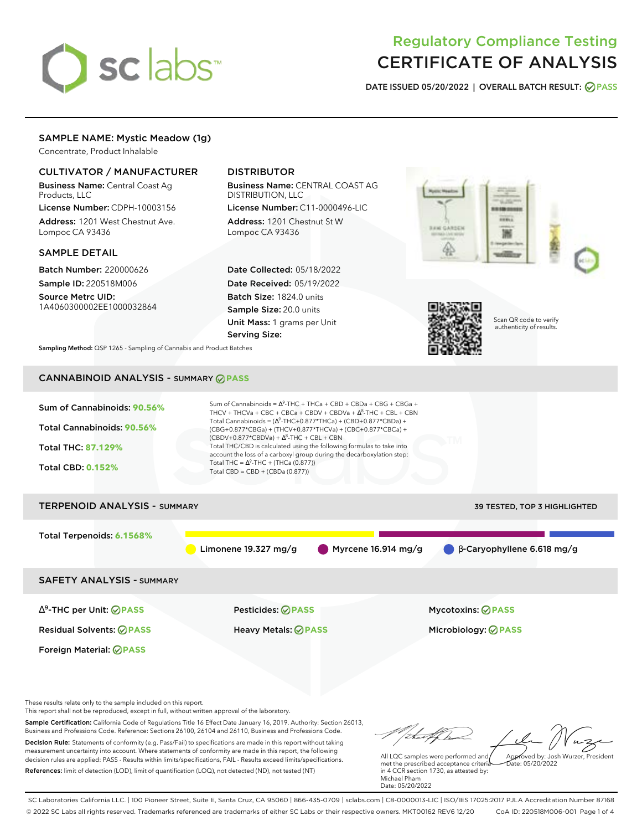

# Regulatory Compliance Testing CERTIFICATE OF ANALYSIS

**DATE ISSUED 05/20/2022 | OVERALL BATCH RESULT: PASS**

# SAMPLE NAME: Mystic Meadow (1g)

Concentrate, Product Inhalable

# CULTIVATOR / MANUFACTURER

Business Name: Central Coast Ag Products, LLC

License Number: CDPH-10003156 Address: 1201 West Chestnut Ave. Lompoc CA 93436

### SAMPLE DETAIL

Batch Number: 220000626 Sample ID: 220518M006

Source Metrc UID: 1A4060300002EE1000032864

# DISTRIBUTOR

Business Name: CENTRAL COAST AG DISTRIBUTION, LLC

License Number: C11-0000496-LIC Address: 1201 Chestnut St W Lompoc CA 93436

Date Collected: 05/18/2022 Date Received: 05/19/2022 Batch Size: 1824.0 units Sample Size: 20.0 units Unit Mass: 1 grams per Unit Serving Size:





Scan QR code to verify authenticity of results.

**Sampling Method:** QSP 1265 - Sampling of Cannabis and Product Batches

# CANNABINOID ANALYSIS - SUMMARY **PASS**



This report shall not be reproduced, except in full, without written approval of the laboratory.

Sample Certification: California Code of Regulations Title 16 Effect Date January 16, 2019. Authority: Section 26013, Business and Professions Code. Reference: Sections 26100, 26104 and 26110, Business and Professions Code. Decision Rule: Statements of conformity (e.g. Pass/Fail) to specifications are made in this report without taking measurement uncertainty into account. Where statements of conformity are made in this report, the following decision rules are applied: PASS - Results within limits/specifications, FAIL - Results exceed limits/specifications.

References: limit of detection (LOD), limit of quantification (LOQ), not detected (ND), not tested (NT)

All LQC samples were performed and met the prescribed acceptance criteria in 4 CCR section 1730, as attested by: Michael Pham Approved by: Josh Wurzer, President  $ate: 05/20/2022$ 

Date: 05/20/2022

SC Laboratories California LLC. | 100 Pioneer Street, Suite E, Santa Cruz, CA 95060 | 866-435-0709 | sclabs.com | C8-0000013-LIC | ISO/IES 17025:2017 PJLA Accreditation Number 87168 © 2022 SC Labs all rights reserved. Trademarks referenced are trademarks of either SC Labs or their respective owners. MKT00162 REV6 12/20 CoA ID: 220518M006-001 Page 1 of 4